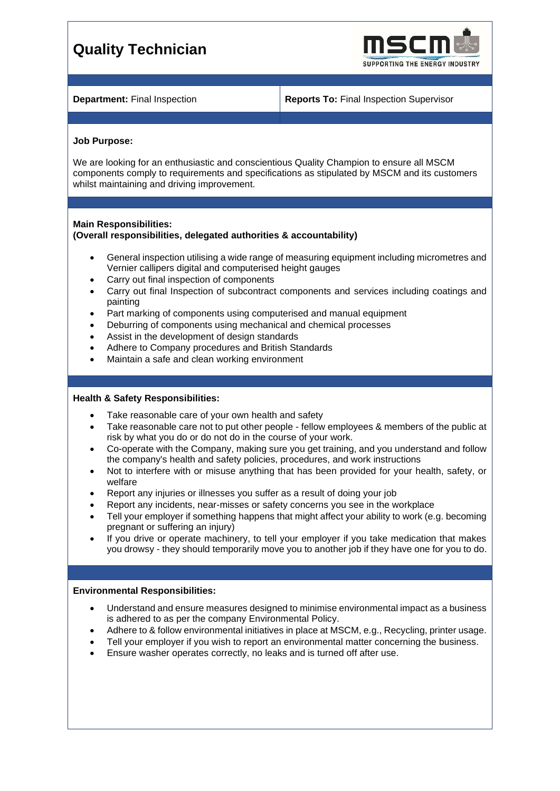# **Quality Technician**



**Department:** Final Inspection **Reports To:** Final Inspection Supervisor

#### **Job Purpose:**

We are looking for an enthusiastic and conscientious Quality Champion to ensure all MSCM components comply to requirements and specifications as stipulated by MSCM and its customers whilst maintaining and driving improvement.

### **Main Responsibilities:**

# **(Overall responsibilities, delegated authorities & accountability)**

- General inspection utilising a wide range of measuring equipment including micrometres and Vernier callipers digital and computerised height gauges
- Carry out final inspection of components
- Carry out final Inspection of subcontract components and services including coatings and painting
- Part marking of components using computerised and manual equipment
- Deburring of components using mechanical and chemical processes
- Assist in the development of design standards
- Adhere to Company procedures and British Standards
- Maintain a safe and clean working environment

# **Health & Safety Responsibilities:**

- Take reasonable care of your own health and safety
- Take reasonable care not to put other people fellow employees & members of the public at risk by what you do or do not do in the course of your work.
- Co-operate with the Company, making sure you get training, and you understand and follow the company's health and safety policies, procedures, and work instructions
- Not to interfere with or misuse anything that has been provided for your health, safety, or welfare
- Report any injuries or illnesses you suffer as a result of doing your job
- Report any incidents, near-misses or safety concerns you see in the workplace
- Tell your employer if something happens that might affect your ability to work (e.g. becoming pregnant or suffering an injury)
- If you drive or operate machinery, to tell your employer if you take medication that makes you drowsy - they should temporarily move you to another job if they have one for you to do.

# **Environmental Responsibilities:**

- Understand and ensure measures designed to minimise environmental impact as a business is adhered to as per the company Environmental Policy.
- Adhere to & follow environmental initiatives in place at MSCM, e.g., Recycling, printer usage.
- Tell your employer if you wish to report an environmental matter concerning the business.
- Ensure washer operates correctly, no leaks and is turned off after use.